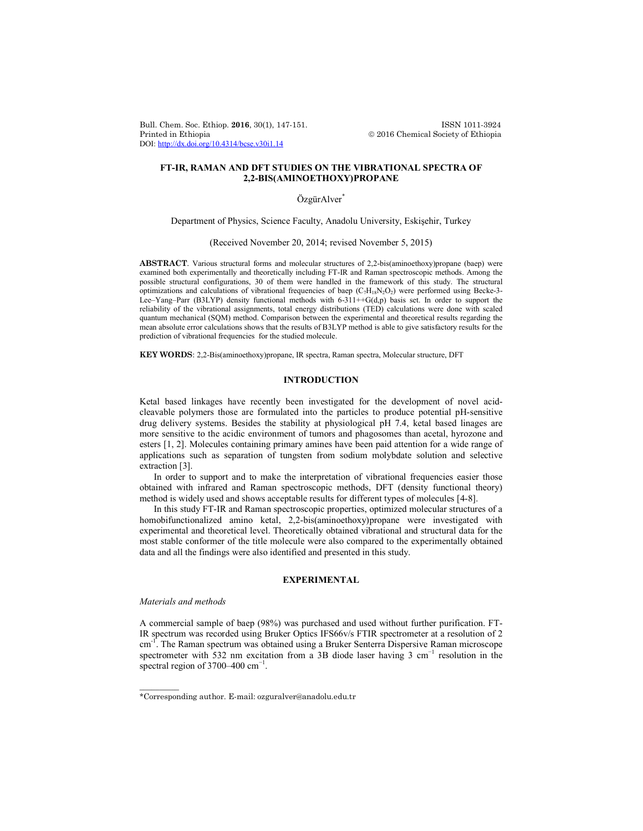Bull. Chem. Soc. Ethiop. **2016**, 30(1), 147-151. ISSN 1011-3924 DOI: http://dx.doi.org/10.4314/bcse.v30i1.14

 $\circledcirc$  2016 Chemical Society of Ethiopia

# **FT-IR, RAMAN AND DFT STUDIES ON THE VIBRATIONAL SPECTRA OF 2,2-BIS(AMINOETHOXY)PROPANE**

## Özgür Alver<sup>\*</sup>

Department of Physics, Science Faculty, Anadolu University, Eskişehir, Turkey

(Received November 20, 2014; revised November 5, 2015)

**ABSTRACT**. Various structural forms and molecular structures of 2,2-bis(aminoethoxy)propane (baep) were examined both experimentally and theoretically including FT-IR and Raman spectroscopic methods. Among the possible structural configurations, 30 of them were handled in the framework of this study. The structural optimizations and calculations of vibrational frequencies of baep  $(C_7H_{18}N_2O_2)$  were performed using Becke-3-Lee–Yang–Parr (B3LYP) density functional methods with  $6-311++G(d,p)$  basis set. In order to support the reliability of the vibrational assignments, total energy distributions (TED) calculations were done with scaled quantum mechanical (SQM) method. Comparison between the experimental and theoretical results regarding the mean absolute error calculations shows that the results of B3LYP method is able to give satisfactory results for the prediction of vibrational frequencies for the studied molecule.

**KEY WORDS**: 2,2-Bis(aminoethoxy)propane, IR spectra, Raman spectra, Molecular structure, DFT

## **INTRODUCTION**

Ketal based linkages have recently been investigated for the development of novel acidcleavable polymers those are formulated into the particles to produce potential pH-sensitive drug delivery systems. Besides the stability at physiological pH 7.4, ketal based linages are more sensitive to the acidic environment of tumors and phagosomes than acetal, hyrozone and esters [1, 2]. Molecules containing primary amines have been paid attention for a wide range of applications such as separation of tungsten from sodium molybdate solution and selective extraction [3].

In order to support and to make the interpretation of vibrational frequencies easier those obtained with infrared and Raman spectroscopic methods, DFT (density functional theory) method is widely used and shows acceptable results for different types of molecules [4-8].

In this study FT-IR and Raman spectroscopic properties, optimized molecular structures of a homobifunctionalized amino ketal, 2,2-bis(aminoethoxy)propane were investigated with experimental and theoretical level. Theoretically obtained vibrational and structural data for the most stable conformer of the title molecule were also compared to the experimentally obtained data and all the findings were also identified and presented in this study.

## **EXPERIMENTAL**

#### *Materials and methods*

 $\overline{\phantom{a}}$ 

A commercial sample of baep (98%) was purchased and used without further purification. FT-IR spectrum was recorded using Bruker Optics IFS66v/s FTIR spectrometer at a resolution of 2 cm<sup>-1</sup>. The Raman spectrum was obtained using a Bruker Senterra Dispersive Raman microscope spectrometer with 532 nm excitation from a 3B diode laser having 3 cm<sup>-1</sup> resolution in the spectral region of 3700–400  $cm^{-1}$ .

<sup>\*</sup>Corresponding author. E-mail: ozguralver@anadolu.edu.tr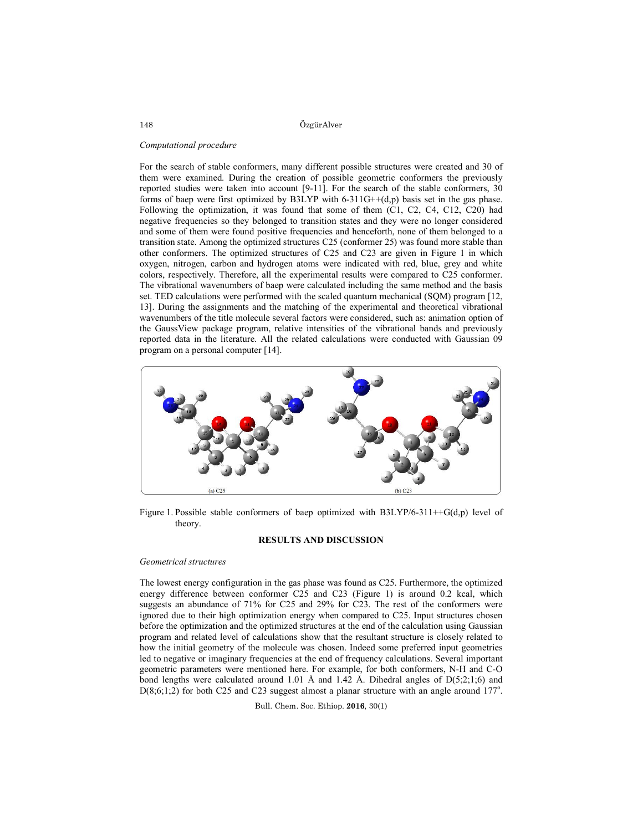ÖzgürAlver

#### *Computational procedure*

For the search of stable conformers, many different possible structures were created and 30 of them were examined. During the creation of possible geometric conformers the previously reported studies were taken into account [9-11]. For the search of the stable conformers, 30 forms of baep were first optimized by B3LYP with  $6-311G++(d,p)$  basis set in the gas phase. Following the optimization, it was found that some of them (C1, C2, C4, C12, C20) had negative frequencies so they belonged to transition states and they were no longer considered and some of them were found positive frequencies and henceforth, none of them belonged to a transition state. Among the optimized structures C25 (conformer 25) was found more stable than other conformers. The optimized structures of C25 and C23 are given in Figure 1 in which oxygen, nitrogen, carbon and hydrogen atoms were indicated with red, blue, grey and white colors, respectively. Therefore, all the experimental results were compared to C25 conformer. The vibrational wavenumbers of baep were calculated including the same method and the basis set. TED calculations were performed with the scaled quantum mechanical (SQM) program [12, 13]. During the assignments and the matching of the experimental and theoretical vibrational wavenumbers of the title molecule several factors were considered, such as: animation option of the GaussView package program, relative intensities of the vibrational bands and previously reported data in the literature. All the related calculations were conducted with Gaussian 09 program on a personal computer [14].



Figure 1. Possible stable conformers of baep optimized with B3LYP/6-311++G(d,p) level of theory.

#### **RESULTS AND DISCUSSION**

#### *Geometrical structures*

The lowest energy configuration in the gas phase was found as C25. Furthermore, the optimized energy difference between conformer C25 and C23 (Figure 1) is around 0.2 kcal, which suggests an abundance of 71% for C25 and 29% for C23. The rest of the conformers were ignored due to their high optimization energy when compared to C25. Input structures chosen before the optimization and the optimized structures at the end of the calculation using Gaussian program and related level of calculations show that the resultant structure is closely related to how the initial geometry of the molecule was chosen. Indeed some preferred input geometries led to negative or imaginary frequencies at the end of frequency calculations. Several important geometric parameters were mentioned here. For example, for both conformers, N-H and C-O bond lengths were calculated around 1.01 Å and 1.42 Å. Dihedral angles of  $D(5;2;1;6)$  and  $D(8,6,1,2)$  for both C25 and C23 suggest almost a planar structure with an angle around 177°.

Bull. Chem. Soc. Ethiop. **2016**, 30(1)

148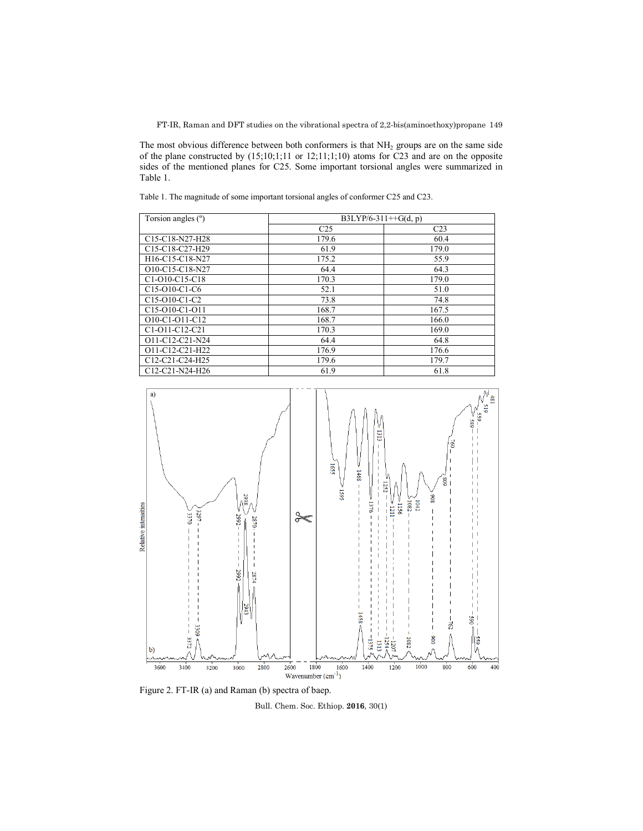FT-IR, Raman and DFT studies on the vibrational spectra of 2,2-bis(aminoethoxy)propane 149

The most obvious difference between both conformers is that NH<sub>2</sub> groups are on the same side of the plane constructed by (15;10;1;11 or 12;11;1;10) atoms for C23 and are on the opposite sides of the mentioned planes for C25. Some important torsional angles were summarized in Table 1.

Table 1. The magnitude of some important torsional angles of conformer C25 and C23.

| Torsion angles (°)                                                 | B3LYP/6-311++G(d, p) |                 |  |
|--------------------------------------------------------------------|----------------------|-----------------|--|
|                                                                    | C <sub>25</sub>      | C <sub>23</sub> |  |
| C <sub>15</sub> -C <sub>18</sub> -N <sub>27</sub> -H <sub>28</sub> | 179.6                | 60.4            |  |
| C <sub>15</sub> -C <sub>18</sub> -C <sub>27</sub> -H <sub>29</sub> | 61.9                 | 179.0           |  |
| H16-C15-C18-N27                                                    | 175.2                | 55.9            |  |
| O10-C15-C18-N27                                                    | 64.4                 | 64.3            |  |
| C <sub>1</sub> -O <sub>10</sub> -C <sub>15</sub> -C <sub>18</sub>  | 170.3                | 179.0           |  |
| C <sub>15</sub> -O <sub>10</sub> -C <sub>1</sub> -C <sub>6</sub>   | 52.1                 | 51.0            |  |
| C <sub>15</sub> -O <sub>10</sub> -C <sub>1</sub> -C <sub>2</sub>   | 73.8                 | 74.8            |  |
| C <sub>15</sub> -O <sub>10</sub> -C <sub>1</sub> -O <sub>11</sub>  | 168.7                | 167.5           |  |
| O10-C1-O11-C12                                                     | 168.7                | 166.0           |  |
| C <sub>1</sub> -O <sub>11</sub> -C <sub>12</sub> -C <sub>21</sub>  | 170.3                | 169.0           |  |
| O11-C12-C21-N24                                                    | 64.4                 | 64.8            |  |
| O11-C12-C21-H22                                                    | 176.9                | 176.6           |  |
| C12-C21-C24-H25                                                    | 179.6                | 179.7           |  |
| C12-C21-N24-H26                                                    | 61.9                 | 61.8            |  |



Figure 2. FT-IR (a) and Raman (b) spectra of baep.

Bull. Chem. Soc. Ethiop. **2016**, 30(1)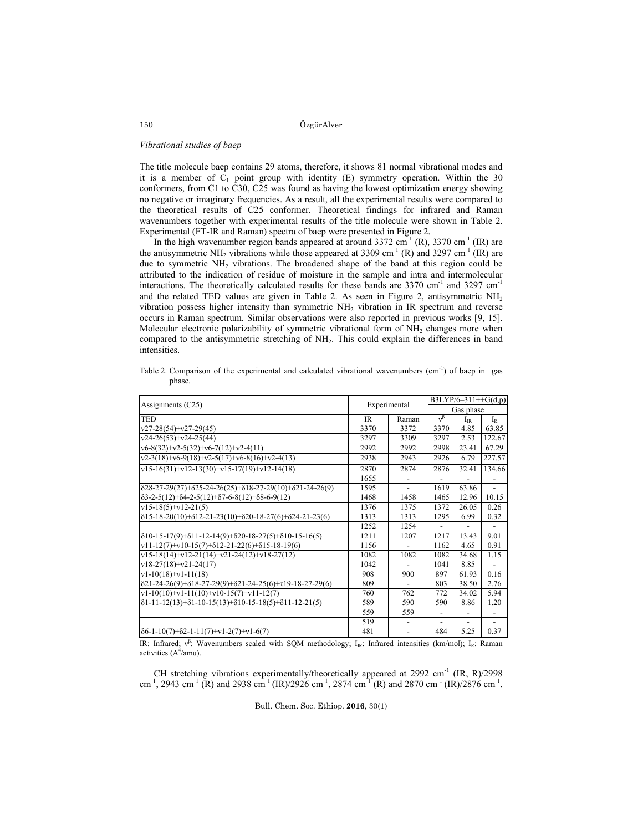ÖzgürAlver

#### *Vibrational studies of baep*

The title molecule baep contains 29 atoms, therefore, it shows 81 normal vibrational modes and it is a member of  $C_1$  point group with identity (E) symmetry operation. Within the 30 conformers, from C1 to C30, C25 was found as having the lowest optimization energy showing no negative or imaginary frequencies. As a result, all the experimental results were compared to the theoretical results of C25 conformer. Theoretical findings for infrared and Raman wavenumbers together with experimental results of the title molecule were shown in Table 2. Experimental (FT-IR and Raman) spectra of baep were presented in Figure 2.

In the high wavenumber region bands appeared at around  $3372 \text{ cm}^{-1}$  (R),  $3370 \text{ cm}^{-1}$  (IR) are the antisymmetric NH<sub>2</sub> vibrations while those appeared at 3309 cm<sup>-1</sup> (R) and 3297 cm<sup>-1</sup> (IR) are due to symmetric  $NH_2$  vibrations. The broadened shape of the band at this region could be attributed to the indication of residue of moisture in the sample and intra and intermolecular interactions. The theoretically calculated results for these bands are  $3370 \text{ cm}^{-1}$  and  $3297 \text{ cm}^{-1}$ and the related TED values are given in Table 2. As seen in Figure 2, antisymmetric NH<sub>2</sub> vibration possess higher intensity than symmetric  $NH<sub>2</sub>$  vibration in IR spectrum and reverse occurs in Raman spectrum. Similar observations were also reported in previous works [9, 15]. Molecular electronic polarizability of symmetric vibrational form of  $NH<sub>2</sub>$  changes more when compared to the antisymmetric stretching of NH2. This could explain the differences in band intensities.

Table 2. Comparison of the experimental and calculated vibrational wavenumbers (cm<sup>-1</sup>) of baep in gas phase.

| Assignments (C25)                                                                               | Experimental |                          | B3LYP/6-311++G(d,p)      |                          |                          |
|-------------------------------------------------------------------------------------------------|--------------|--------------------------|--------------------------|--------------------------|--------------------------|
|                                                                                                 |              |                          | Gas phase                |                          |                          |
| <b>TED</b>                                                                                      | <b>IR</b>    | Raman                    | $v^{\beta}$              | $I_{IR}$                 | $I_R$                    |
| $v27-28(54)+v27-29(45)$                                                                         | 3370         | 3372                     | 3370                     | 4.85                     | 63.85                    |
| $v24-26(53)+v24-25(44)$                                                                         | 3297         | 3309                     | 3297                     | 2.53                     | 122.67                   |
| $v6-8(32)+v2-5(32)+v6-7(12)+v2-4(11)$                                                           | 2992         | 2992                     | 2998                     | 23.41                    | 67.29                    |
| $v2-3(18)+v6-9(18)+v2-5(17)+v6-8(16)+v2-4(13)$                                                  | 2938         | 2943                     | 2926                     | 6.79                     | 227.57                   |
| $v15-16(31)+v12-13(30)+v15-17(19)+v12-14(18)$                                                   | 2870         | 2874                     | 2876                     | 32.41                    | 134.66                   |
|                                                                                                 | 1655         |                          |                          |                          |                          |
| $\delta$ 28-27-29(27)+ $\delta$ 25-24-26(25)+ $\delta$ 18-27-29(10)+ $\delta$ 21-24-26(9)       | 1595         | $\overline{a}$           | 1619                     | 63.86                    | $\overline{\phantom{0}}$ |
| $\delta$ 3-2-5(12)+ $\delta$ 4-2-5(12)+ $\delta$ 7-6-8(12)+ $\delta$ 8-6-9(12)                  | 1468         | 1458                     | 1465                     | 12.96                    | 10.15                    |
| $v15-18(5)+v12-21(5)$                                                                           | 1376         | 1375                     | 1372                     | 26.05                    | 0.26                     |
| $\delta$ 15-18-20(10)+ $\delta$ 12-21-23(10)+ $\delta$ 20-18-27(6)+ $\delta$ 24-21-23(6)        | 1313         | 1313                     | 1295                     | 6.99                     | 0.32                     |
|                                                                                                 | 1252         | 1254                     | $\overline{a}$           |                          | $\overline{\phantom{a}}$ |
| $\delta$ 10-15-17(9)+ $\delta$ 11-12-14(9)+ $\delta$ 20-18-27(5)+ $\delta$ 10-15-16(5)          | 1211         | 1207                     | 1217                     | 13.43                    | 9.01                     |
| $v11-12(7)+v10-15(7)+\delta12-21-22(6)+\delta15-18-19(6)$                                       | 1156         | $\overline{\phantom{a}}$ | 1162                     | 4.65                     | 0.91                     |
| $v15-18(14)+v12-21(14)+v21-24(12)+v18-27(12)$                                                   | 1082         | 1082                     | 1082                     | 34.68                    | 1.15                     |
| $v18-27(18)+v21-24(17)$                                                                         | 1042         | $\overline{\phantom{0}}$ | 1041                     | 8.85                     | $\overline{a}$           |
| $v1-10(18)+v1-11(18)$                                                                           | 908          | 900                      | 897                      | 61.93                    | 0.16                     |
| $\delta$ 21-24-26(9)+ $\delta$ 18-27-29(9)+ $\delta$ 21-24-25(6)+ $\tau$ 19-18-27-29(6)         | 809          |                          | 803                      | 38.50                    | 2.76                     |
| $v1-10(10)+v1-11(10)+v10-15(7)+v11-12(7)$                                                       | 760          | 762                      | 772                      | 34.02                    | 5.94                     |
| $\delta1 - 11 - 12(13) + \delta1 - 10 - 15(13) + \delta10 - 15 - 18(5) + \delta11 - 12 - 21(5)$ | 589          | 590                      | 590                      | 8.86                     | 1.20                     |
|                                                                                                 | 559          | 559                      | $\overline{a}$           | $\overline{\phantom{a}}$ | $\overline{\phantom{a}}$ |
|                                                                                                 | 519          | $\overline{\phantom{a}}$ | $\overline{\phantom{0}}$ | $\overline{\phantom{a}}$ |                          |
| $\delta$ 6-1-10(7)+ $\delta$ 2-1-11(7)+v1-2(7)+v1-6(7)                                          | 481          | $\overline{\phantom{a}}$ | 484                      | 5.25                     | 0.37                     |

IR: Infrared; ν<sup>β</sup>: Wavenumbers scaled with SQM methodology; I<sub>IR</sub>: Infrared intensities (km/mol); I<sub>R</sub>: Raman activities  $(\AA^4$ /amu).

CH stretching vibrations experimentally/theoretically appeared at 2992 cm<sup>-1</sup> (IR, R)/2998 cm<sup>-1</sup>, 2943 cm<sup>-1</sup> (R) and 2938 cm<sup>-1</sup> (IR)/2926 cm<sup>-1</sup>, 2874 cm<sup>-1</sup> (R) and 2870 cm<sup>-1</sup> (IR)/2876 cm<sup>-1</sup>.

Bull. Chem. Soc. Ethiop. **2016**, 30(1)

150